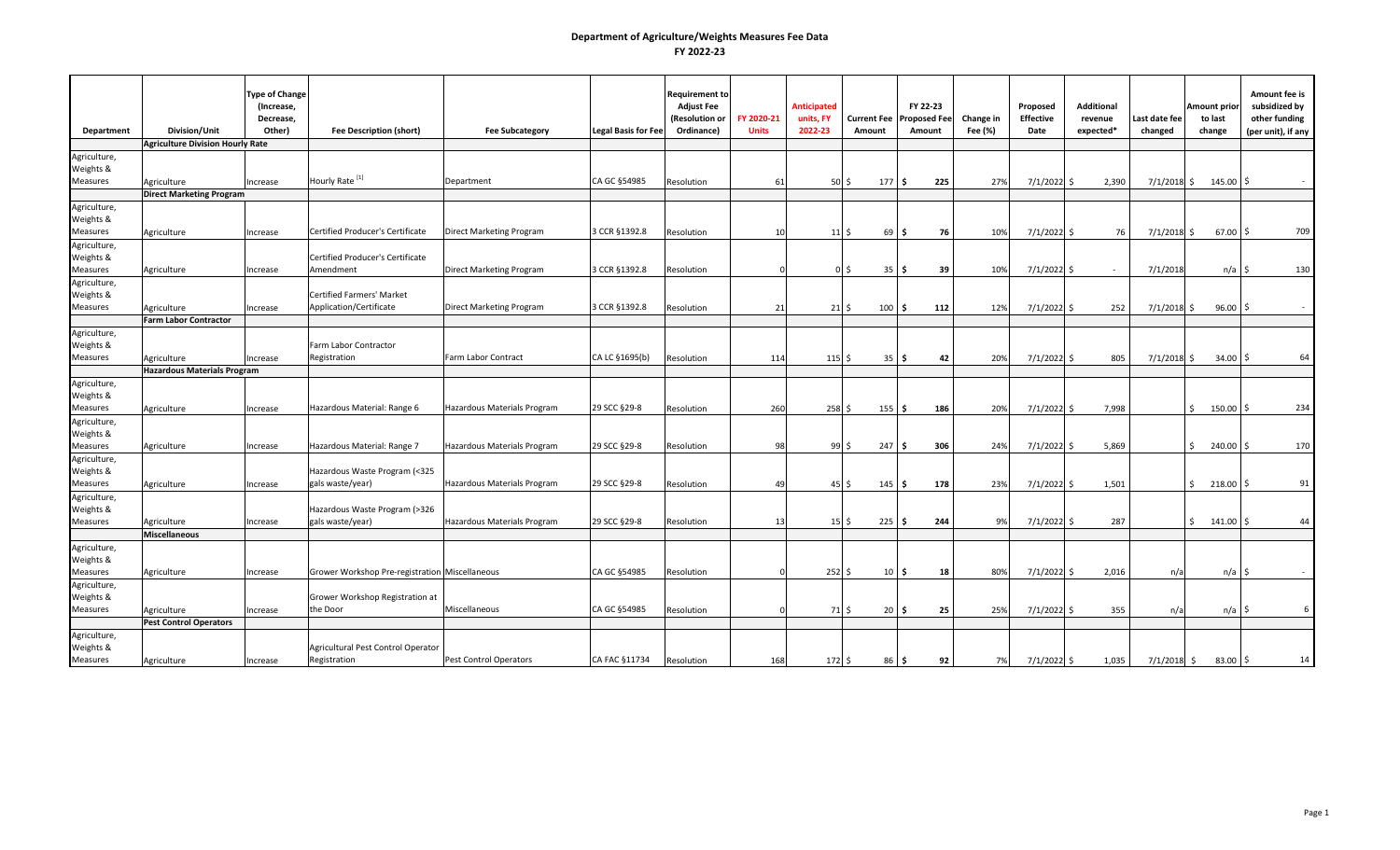|                 |                                             | <b>Type of Change</b><br>(Increase, |                                                |                             |                            | <b>Requirement to</b><br><b>Adjust Fee</b> |                            | <b>Anticipated</b>         |                                             | FY 22-23                      |                      | Proposed                 | <b>Additional</b>    |                          | Amount prior            | Amount fee is<br>subsidized by      |
|-----------------|---------------------------------------------|-------------------------------------|------------------------------------------------|-----------------------------|----------------------------|--------------------------------------------|----------------------------|----------------------------|---------------------------------------------|-------------------------------|----------------------|--------------------------|----------------------|--------------------------|-------------------------|-------------------------------------|
| Department      | <b>Division/Unit</b>                        | Decrease,<br>Other)                 | <b>Fee Description (short)</b>                 | <b>Fee Subcategory</b>      | <b>Legal Basis for Fee</b> | (Resolution or<br>Ordinance)               | FY 2020-21<br><b>Units</b> | units, FY<br>2022-23       | <b>Current Fee</b><br>Amount                | <b>Proposed Fee</b><br>Amount | Change in<br>Fee (%) | <b>Effective</b><br>Date | revenue<br>expected* | Last date fee<br>changed | to last<br>change       | other funding<br>(per unit), if any |
|                 | <b>Agriculture Division Hourly Rate</b>     |                                     |                                                |                             |                            |                                            |                            |                            |                                             |                               |                      |                          |                      |                          |                         |                                     |
| Agriculture,    |                                             |                                     |                                                |                             |                            |                                            |                            |                            |                                             |                               |                      |                          |                      |                          |                         |                                     |
| Weights &       |                                             |                                     |                                                |                             |                            |                                            |                            |                            |                                             |                               |                      |                          |                      |                          |                         |                                     |
| Measures        | Agriculture                                 | Increase                            | Hourly Rate <sup>[1]</sup>                     | Department                  | CA GC §54985               | Resolution                                 | 61                         | $50\,$ \$                  | 177S                                        | 225                           | 27%                  | 7/1/2022 \$              | 2,390                |                          | $7/1/2018$ \$ 145.00 \$ |                                     |
|                 | <b>Direct Marketing Program</b>             |                                     |                                                |                             |                            |                                            |                            |                            |                                             |                               |                      |                          |                      |                          |                         |                                     |
| Agriculture,    |                                             |                                     |                                                |                             |                            |                                            |                            |                            |                                             |                               |                      |                          |                      |                          |                         |                                     |
| Weights &       |                                             |                                     |                                                |                             |                            |                                            |                            |                            |                                             |                               |                      |                          |                      |                          |                         |                                     |
| <b>Measures</b> | Agriculture                                 | Increase                            | Certified Producer's Certificate               | Direct Marketing Program    | 3 CCR §1392.8              | Resolution                                 | 10                         | $11\frac{1}{2}$            | 69                                          | 76<br>١S                      | 10%                  | $7/1/2022$ \$            | 76                   | $7/1/2018$ \$            | $67.00$ \$              | 709                                 |
| Agriculture,    |                                             |                                     |                                                |                             |                            |                                            |                            |                            |                                             |                               |                      |                          |                      |                          |                         |                                     |
| Weights &       |                                             |                                     | Certified Producer's Certificate               |                             |                            |                                            |                            |                            |                                             |                               |                      |                          |                      |                          |                         |                                     |
| Measures        | Agriculture                                 | Increase                            | Amendment                                      | Direct Marketing Program    | 3 CCR §1392.8              | Resolution                                 |                            |                            | 35<br>0 \$                                  | 39<br>١s                      | 10%                  | 7/1/2022                 | I S<br>$\sim$        | 7/1/2018                 | n/a                     | 130                                 |
| Agriculture,    |                                             |                                     |                                                |                             |                            |                                            |                            |                            |                                             |                               |                      |                          |                      |                          |                         |                                     |
| Weights &       |                                             |                                     | Certified Farmers' Market                      |                             |                            |                                            |                            |                            |                                             |                               |                      |                          |                      |                          |                         |                                     |
| Measures        | Agriculture<br><b>Farm Labor Contractor</b> | Increase                            | Application/Certificate                        | Direct Marketing Program    | 3 CCR §1392.8              | Resolution                                 | 21                         | $21\overline{\phantom{0}}$ | $100 \,$ \$                                 | 112                           | 12%                  | 7/1/2022 \$              | 252                  | $7/1/2018$ \$            | $96.00$ \$              |                                     |
| Agriculture,    |                                             |                                     |                                                |                             |                            |                                            |                            |                            |                                             |                               |                      |                          |                      |                          |                         |                                     |
| Weights &       |                                             |                                     | Farm Labor Contractor                          |                             |                            |                                            |                            |                            |                                             |                               |                      |                          |                      |                          |                         |                                     |
| Measures        | Agriculture                                 | Increase                            | Registration                                   | Farm Labor Contract         | CA LC §1695(b)             | Resolution                                 | 114                        | 115S                       | 35 <sub>5</sub>                             | 42                            | 20%                  | $7/1/2022$ \$            | 805                  | $7/1/2018$ \$            | $34.00$ \$              | 64                                  |
|                 | <b>Hazardous Materials Program</b>          |                                     |                                                |                             |                            |                                            |                            |                            |                                             |                               |                      |                          |                      |                          |                         |                                     |
| Agriculture,    |                                             |                                     |                                                |                             |                            |                                            |                            |                            |                                             |                               |                      |                          |                      |                          |                         |                                     |
| Weights &       |                                             |                                     |                                                |                             |                            |                                            |                            |                            |                                             |                               |                      |                          |                      |                          |                         |                                     |
| <b>Measures</b> | Agriculture                                 | Increase                            | Hazardous Material: Range 6                    | Hazardous Materials Program | 29 SCC §29-8               | Resolution                                 | 260                        | 258S                       | 155                                         | 186<br>l S                    | 20%                  | 7/1/2022                 | 7,998<br>l S         |                          | $\mathsf{S}$<br>150.00  | 234<br>I\$                          |
| Agriculture,    |                                             |                                     |                                                |                             |                            |                                            |                            |                            |                                             |                               |                      |                          |                      |                          |                         |                                     |
| Weights &       |                                             |                                     |                                                |                             |                            |                                            |                            |                            |                                             |                               |                      |                          |                      |                          |                         |                                     |
| Measures        | Agriculture                                 | Increase                            | Hazardous Material: Range 7                    | Hazardous Materials Program | 29 SCC §29-8               | Resolution                                 | 98                         | 99S                        | 247                                         | 306<br>l \$                   | 24%                  | 7/1/2022                 | 5,869<br>l S         |                          | $\sim$ 5<br>240.00 \$   | 170                                 |
| Agriculture,    |                                             |                                     |                                                |                             |                            |                                            |                            |                            |                                             |                               |                      |                          |                      |                          |                         |                                     |
| Weights &       |                                             |                                     | Hazardous Waste Program (<325                  |                             |                            |                                            |                            |                            |                                             |                               |                      |                          |                      |                          |                         |                                     |
| Measures        | Agriculture                                 | Increase                            | gals waste/year)                               | Hazardous Materials Program | 29 SCC §29-8               | Resolution                                 | 49                         |                            | $45\overline{\smash{\circ}}$<br>$145 \,$ \$ | 178                           | 23%                  | 7/1/2022 \$              | 1,501                |                          | $$218.00$ \$            | 91                                  |
| Agriculture,    |                                             |                                     |                                                |                             |                            |                                            |                            |                            |                                             |                               |                      |                          |                      |                          |                         |                                     |
| Weights &       |                                             |                                     | Hazardous Waste Program (>326                  |                             |                            |                                            |                            |                            |                                             |                               |                      |                          |                      |                          |                         |                                     |
| Measures        | Agriculture<br><b>Miscellaneous</b>         | Increase                            | gals waste/year)                               | Hazardous Materials Program | 29 SCC §29-8               | Resolution                                 | 13                         | $15 \,$ \$                 | $225 \,$ \$                                 | 244                           | 9%                   | 7/1/2022                 | 287<br>-S            |                          | $$141.00$ \$            | 44                                  |
| Agriculture,    |                                             |                                     |                                                |                             |                            |                                            |                            |                            |                                             |                               |                      |                          |                      |                          |                         |                                     |
| Weights &       |                                             |                                     |                                                |                             |                            |                                            |                            |                            |                                             |                               |                      |                          |                      |                          |                         |                                     |
| Measures        | Agriculture                                 | Increase                            | Grower Workshop Pre-registration Miscellaneous |                             | CA GC §54985               | Resolution                                 |                            | $252\frac{1}{2}$           | 10 <sub>5</sub>                             | 18                            | 80%                  | $7/1/2022$ \$            | 2,016                | n/a                      | n/a                     | I\$                                 |
| Agriculture,    |                                             |                                     |                                                |                             |                            |                                            |                            |                            |                                             |                               |                      |                          |                      |                          |                         |                                     |
| Weights &       |                                             |                                     | Grower Workshop Registration at                |                             |                            |                                            |                            |                            |                                             |                               |                      |                          |                      |                          |                         |                                     |
| Measures        | Agriculture                                 | Increase                            | the Door                                       | Miscellaneous               | CA GC §54985               | Resolution                                 |                            | 71 \$                      | $20 \,$ \$                                  | 25                            | 25%                  | 7/1/2022 \$              | 355                  | n/a                      | n/a                     | 6<br>IS.                            |
|                 | <b>Pest Control Operators</b>               |                                     |                                                |                             |                            |                                            |                            |                            |                                             |                               |                      |                          |                      |                          |                         |                                     |
| Agriculture,    |                                             |                                     |                                                |                             |                            |                                            |                            |                            |                                             |                               |                      |                          |                      |                          |                         |                                     |
| Weights &       |                                             |                                     | Agricultural Pest Control Operator             |                             |                            |                                            |                            |                            |                                             |                               |                      |                          |                      |                          |                         |                                     |
| Measures        | Agriculture                                 | Increase                            | Registration                                   | Pest Control Operators      | CA FAC §11734              | Resolution                                 | 168                        | $172\frac{1}{5}$           | 86 <sub>5</sub>                             | 92                            | 7%                   | 7/1/2022 \$              | 1,035                | $7/1/2018$ \$            | $83.00$ $\frac{5}{5}$   | 14                                  |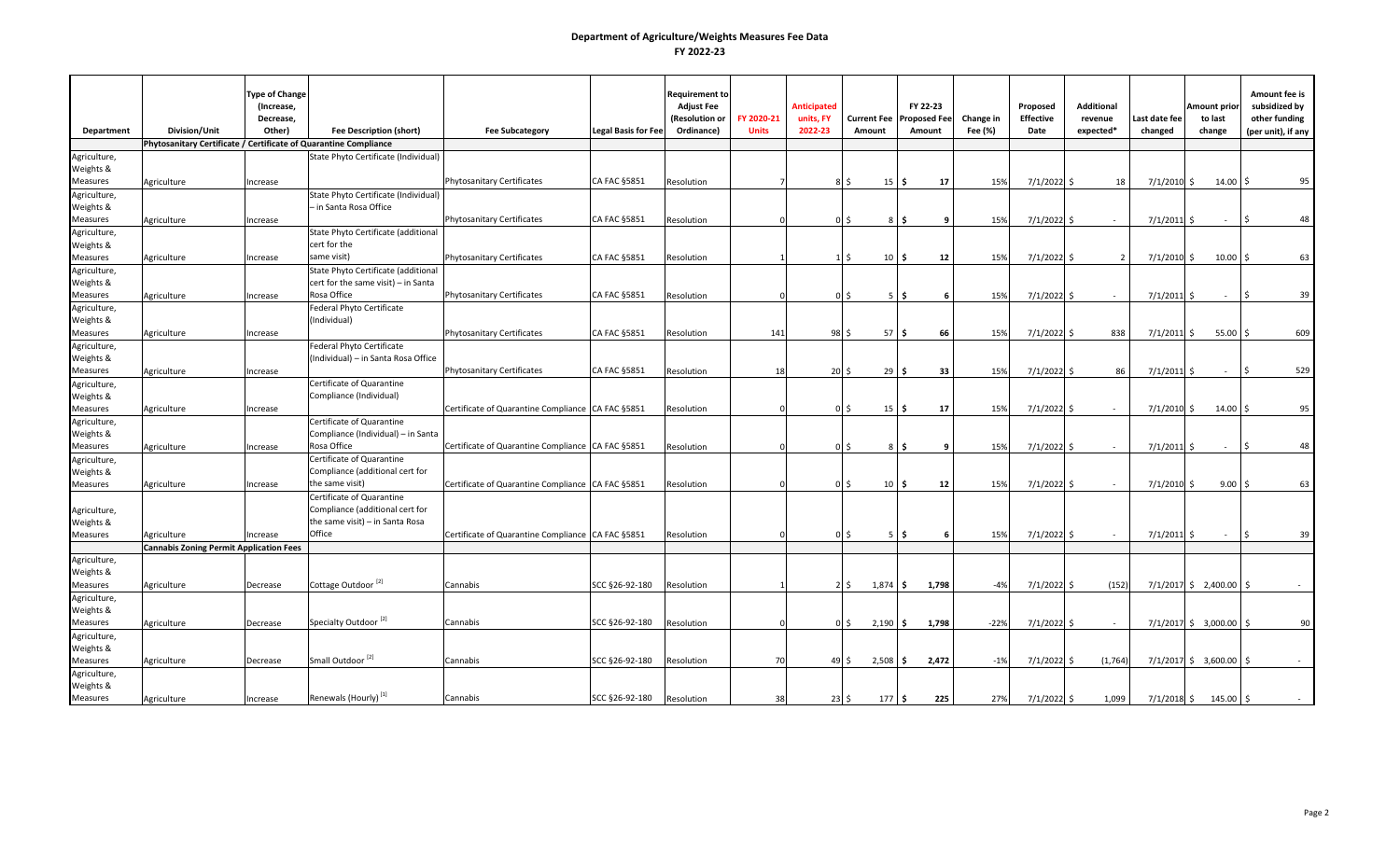|                              |                                                                  | <b>Type of Change</b><br>(Increase, |                                           |                                                   |                            | <b>Requirement to</b><br><b>Adjust Fee</b> |              | <b>Anticipated</b> |                              |                       | FY 22-23            |           | Proposed         | <b>Additional</b> |               | Amount prior         | Amount fee is<br>subsidized by |
|------------------------------|------------------------------------------------------------------|-------------------------------------|-------------------------------------------|---------------------------------------------------|----------------------------|--------------------------------------------|--------------|--------------------|------------------------------|-----------------------|---------------------|-----------|------------------|-------------------|---------------|----------------------|--------------------------------|
|                              |                                                                  | Decrease,                           |                                           |                                                   |                            | (Resolution or                             | FY 2020-21   | units, FY          |                              | <b>Current Fee</b>    | <b>Proposed Fee</b> | Change in | <b>Effective</b> | revenue           | Last date fee | to last              | other funding                  |
| Department                   | Division/Unit                                                    | Other)                              | <b>Fee Description (short)</b>            | <b>Fee Subcategory</b>                            | <b>Legal Basis for Fee</b> | Ordinance)                                 | <b>Units</b> | 2022-23            |                              | Amount                | Amount              | Fee (%)   | Date             | expected*         | changed       | change               | (per unit), if any             |
|                              | Phytosanitary Certificate / Certificate of Quarantine Compliance |                                     |                                           |                                                   |                            |                                            |              |                    |                              |                       |                     |           |                  |                   |               |                      |                                |
| Agriculture,                 |                                                                  |                                     | State Phyto Certificate (Individual)      |                                                   |                            |                                            |              |                    |                              |                       |                     |           |                  |                   |               |                      |                                |
| Weights &                    |                                                                  |                                     |                                           |                                                   |                            |                                            |              |                    |                              |                       |                     |           |                  |                   |               |                      |                                |
| <b>Measures</b>              | Agriculture                                                      | Increase                            |                                           | Phytosanitary Certificates                        | CA FAC §5851               | Resolution                                 |              |                    | Ŝ.                           | 15                    | 17<br>\$            | 15%       | 7/1/2022         | 18                | $7/1/2010$ \$ | 14.00                | 95                             |
| Agriculture,                 |                                                                  |                                     | State Phyto Certificate (Individual)      |                                                   |                            |                                            |              |                    |                              |                       |                     |           |                  |                   |               |                      |                                |
| Weights &<br><b>Measures</b> |                                                                  |                                     | - in Santa Rosa Office                    | <b>Phytosanitary Certificates</b>                 | CA FAC §5851               | Resolution                                 |              |                    | Ś                            | 8                     | S,<br>9             | 15%       | 7/1/2022 \$      | $\sim$            | $7/1/2011$ \$ | $\sim$               | 48                             |
|                              | Agriculture                                                      | Increase                            | State Phyto Certificate (additional       |                                                   |                            |                                            |              |                    |                              |                       |                     |           |                  |                   |               |                      |                                |
| Agriculture,                 |                                                                  |                                     | cert for the                              |                                                   |                            |                                            |              |                    |                              |                       |                     |           |                  |                   |               |                      |                                |
| Weights &<br>Measures        | Agriculture                                                      | Increase                            | same visit)                               | <b>Phytosanitary Certificates</b>                 | CA FAC §5851               | Resolution                                 |              |                    | $1\vert$ \$                  | $10 \,$ \$            | 12                  | 15%       | 7/1/2022 \$      | $\overline{2}$    | $7/1/2010$ \$ | 10.00                | 63                             |
| Agriculture,                 |                                                                  |                                     | State Phyto Certificate (additional       |                                                   |                            |                                            |              |                    |                              |                       |                     |           |                  |                   |               |                      |                                |
| Weights &                    |                                                                  |                                     | cert for the same visit) - in Santa       |                                                   |                            |                                            |              |                    |                              |                       |                     |           |                  |                   |               |                      |                                |
| <b>Measures</b>              | Agriculture                                                      | Increase                            | Rosa Office                               | <b>Phytosanitary Certificates</b>                 | CA FAC §5851               | Resolution                                 |              |                    | Ś                            | -5                    | l\$<br>6            | 15%       | $7/1/2022$ \$    |                   | $7/1/2011$ \$ | $\sim$               | 39                             |
| Agriculture,                 |                                                                  |                                     | Federal Phyto Certificate                 |                                                   |                            |                                            |              |                    |                              |                       |                     |           |                  |                   |               |                      |                                |
| Weights &                    |                                                                  |                                     | (Individual)                              |                                                   |                            |                                            |              |                    |                              |                       |                     |           |                  |                   |               |                      |                                |
| Measures                     | Agriculture                                                      | Increase                            |                                           | <b>Phytosanitary Certificates</b>                 | CA FAC §5851               | Resolution                                 | 141          |                    | 98S                          | $57 \,$ $\uparrow$    | 66                  | 15%       | 7/1/2022         | 838<br>-Ś.        | $7/1/2011$ \$ | 55.00                | 609                            |
| Agriculture,                 |                                                                  |                                     | Federal Phyto Certificate                 |                                                   |                            |                                            |              |                    |                              |                       |                     |           |                  |                   |               |                      |                                |
| Weights &                    |                                                                  |                                     | (Individual) - in Santa Rosa Office       |                                                   |                            |                                            |              |                    |                              |                       |                     |           |                  |                   |               |                      |                                |
| Measures                     | Agriculture                                                      | Increase                            |                                           | <b>Phytosanitary Certificates</b>                 | CA FAC §5851               | Resolution                                 | 18           |                    | $20\overline{\smash{\circ}}$ | $29 \,$ \$            | 33                  | 15%       | 7/1/2022 \$      | 86                | $7/1/2011$ \$ | $\sim$               | 529                            |
| Agriculture,                 |                                                                  |                                     | Certificate of Quarantine                 |                                                   |                            |                                            |              |                    |                              |                       |                     |           |                  |                   |               |                      |                                |
| Weights &                    |                                                                  |                                     | Compliance (Individual)                   |                                                   |                            |                                            |              |                    |                              |                       |                     |           |                  |                   |               |                      |                                |
| Measures                     | Agriculture                                                      | Increase                            |                                           | Certificate of Quarantine Compliance CA FAC §5851 |                            | Resolution                                 |              |                    | Ŝ.                           | $15 \mid 5$           | 17                  | 15%       | 7/1/2022         | -Ś.<br>$\sim$     | $7/1/2010$ \$ | 14.00                | 95                             |
| Agriculture,                 |                                                                  |                                     | Certificate of Quarantine                 |                                                   |                            |                                            |              |                    |                              |                       |                     |           |                  |                   |               |                      |                                |
| Weights &                    |                                                                  |                                     | Compliance (Individual) - in Santa        |                                                   |                            |                                            |              |                    |                              |                       |                     |           |                  |                   |               |                      |                                |
| <b>Measures</b>              | Agriculture                                                      | Increase                            | Rosa Office                               | Certificate of Quarantine Compliance CA FAC §5851 |                            | Resolution                                 |              |                    | Ŝ.                           | 8                     | S,<br>9             | 15%       | 7/1/2022         | -S<br>$\sim$      | $7/1/2011$ \$ | $\sim$               | 48                             |
| Agriculture,                 |                                                                  |                                     | Certificate of Quarantine                 |                                                   |                            |                                            |              |                    |                              |                       |                     |           |                  |                   |               |                      |                                |
| Weights &                    |                                                                  |                                     | Compliance (additional cert for           |                                                   |                            |                                            |              |                    |                              |                       |                     |           |                  |                   |               |                      |                                |
| Measures                     | Agriculture                                                      | Increase                            | the same visit)                           | Certificate of Quarantine Compliance CA FAC §5851 |                            | Resolution                                 |              |                    | 0 <sup>5</sup>               | $10 \mid \frac{1}{2}$ | 12                  | 15%       | 7/1/2022 \$      | $\sim$            | $7/1/2010$ \$ | 9.00                 | 63                             |
|                              |                                                                  |                                     | Certificate of Quarantine                 |                                                   |                            |                                            |              |                    |                              |                       |                     |           |                  |                   |               |                      |                                |
| Agriculture,                 |                                                                  |                                     | Compliance (additional cert for           |                                                   |                            |                                            |              |                    |                              |                       |                     |           |                  |                   |               |                      |                                |
| Weights &                    |                                                                  |                                     | the same visit) - in Santa Rosa<br>Office |                                                   |                            |                                            |              |                    |                              |                       |                     |           |                  |                   |               |                      |                                |
| Measures                     | Agriculture                                                      | Increase                            |                                           | Certificate of Quarantine Compliance CA FAC §5851 |                            | Resolution                                 |              |                    | \$                           | 5                     | l\$<br>6            | 15%       | 7/1/2022         | -S<br>$\sim$      | $7/1/2011$ \$ | $\sim$               | 39                             |
|                              | <b>Cannabis Zoning Permit Application Fees</b>                   |                                     |                                           |                                                   |                            |                                            |              |                    |                              |                       |                     |           |                  |                   |               |                      |                                |
| Agriculture,<br>Weights &    |                                                                  |                                     |                                           |                                                   |                            |                                            |              |                    |                              |                       |                     |           |                  |                   |               |                      |                                |
| Measures                     | Agriculture                                                      | Decrease                            | Cottage Outdoor <sup>[2]</sup>            | Cannabis                                          | SCC §26-92-180             | Resolution                                 |              |                    | 2 <sub>5</sub>               | 1,874                 | 1,798<br>l \$       | $-4%$     | 7/1/2022         | (152)<br>-Ś.      |               | 7/1/2017 \$2,400.00  |                                |
| Agriculture,                 |                                                                  |                                     |                                           |                                                   |                            |                                            |              |                    |                              |                       |                     |           |                  |                   |               |                      |                                |
| Weights &                    |                                                                  |                                     |                                           |                                                   |                            |                                            |              |                    |                              |                       |                     |           |                  |                   |               |                      |                                |
| Measures                     | Agriculture                                                      | Decrease                            | Specialty Outdoor <sup>[2]</sup>          | Cannabis                                          | SCC §26-92-180             | Resolution                                 |              |                    | $0\,$ \$                     | $2,190$ \$            | 1,798               | $-22%$    | 7/1/2022 \$      | $\sim$            |               | 7/1/2017 \$ 3,000.00 | 90                             |
| Agriculture,                 |                                                                  |                                     |                                           |                                                   |                            |                                            |              |                    |                              |                       |                     |           |                  |                   |               |                      |                                |
| Weights &                    |                                                                  |                                     |                                           |                                                   |                            |                                            |              |                    |                              |                       |                     |           |                  |                   |               |                      |                                |
| Measures                     | Agriculture                                                      | Decrease                            | Small Outdoor <sup>[2]</sup>              | Cannabis                                          | SCC §26-92-180             | Resolution                                 | 70           |                    | 49 \$                        | $2,508$ \$            | 2,472               | $-1%$     | 7/1/2022 \$      | (1,764)           |               | 7/1/2017 \$ 3,600.00 | $\zeta$                        |
| Agriculture,                 |                                                                  |                                     |                                           |                                                   |                            |                                            |              |                    |                              |                       |                     |           |                  |                   |               |                      |                                |
| Weights &                    |                                                                  |                                     |                                           |                                                   |                            |                                            |              |                    |                              |                       |                     |           |                  |                   |               |                      |                                |
| Measures                     | Agriculture                                                      | Increase                            | Renewals (Hourly) <sup>[1]</sup>          | Cannabis                                          | SCC §26-92-180             | Resolution                                 | 38           |                    | $23 \overline{\phantom{0}5}$ | 177S                  | 225                 | 27%       | 7/1/2022         | 1,099<br>\$       | $7/1/2018$ \$ | 145.00               | Ŝ.                             |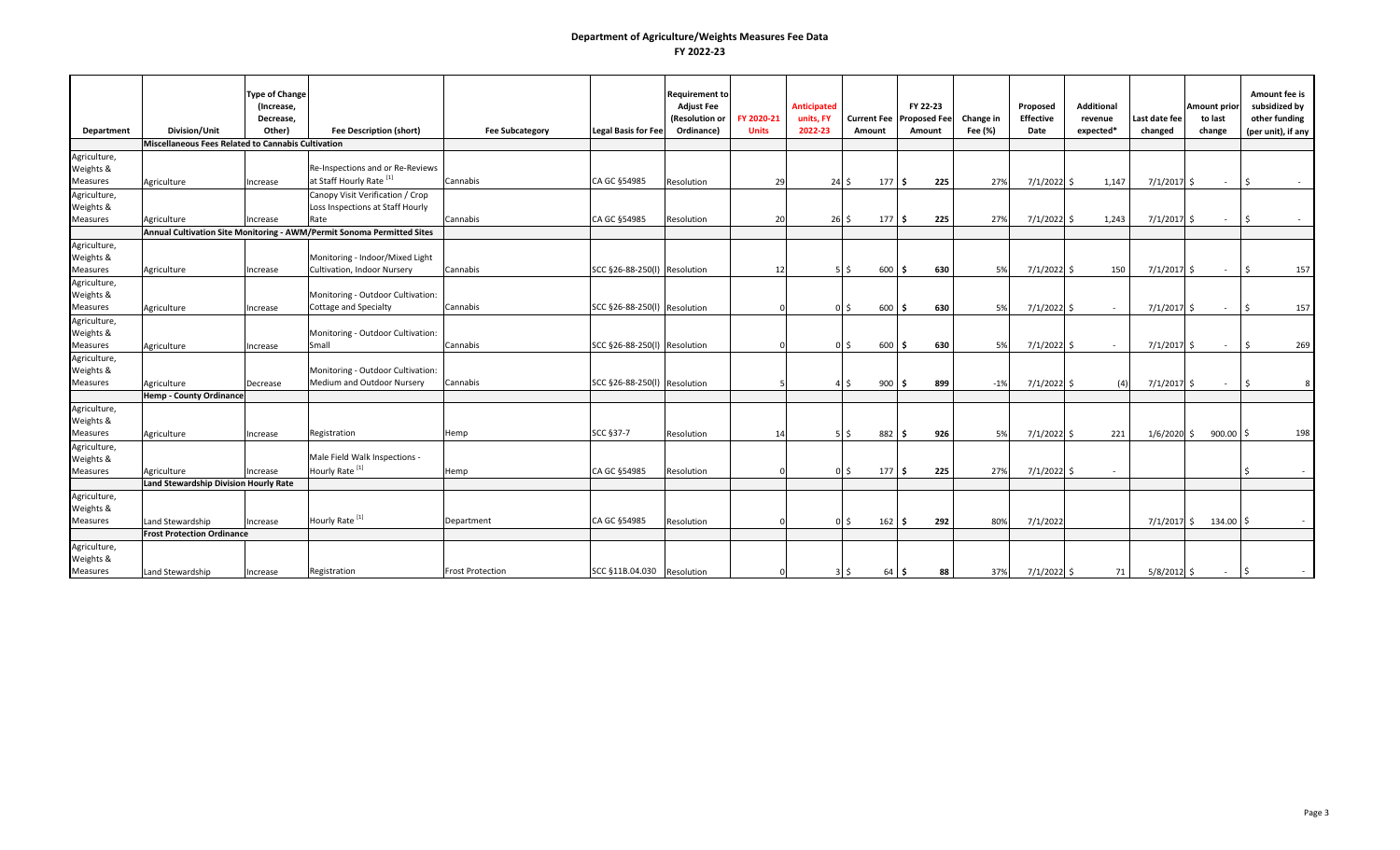|                 |                                                    | <b>Type of Change</b><br>(Increase, |                                                                        |                         |                              | <b>Requirement to</b><br><b>Adjust Fee</b> |              | <b>Anticipated</b> |                       | FY 22-23            |           | Proposed         | <b>Additional</b> |               | <b>Amount prior</b>     | Amount fee is<br>subsidized by |
|-----------------|----------------------------------------------------|-------------------------------------|------------------------------------------------------------------------|-------------------------|------------------------------|--------------------------------------------|--------------|--------------------|-----------------------|---------------------|-----------|------------------|-------------------|---------------|-------------------------|--------------------------------|
|                 |                                                    | Decrease,                           |                                                                        |                         |                              | (Resolution or                             | FY 2020-21   | units, FY          | <b>Current Fee</b>    | <b>Proposed Fee</b> | Change in | <b>Effective</b> | revenue           | Last date fee | to last                 | other funding                  |
| Department      | Division/Unit                                      | Other)                              | <b>Fee Description (short)</b>                                         | <b>Fee Subcategory</b>  | <b>Legal Basis for Fee</b>   | Ordinance)                                 | <b>Units</b> | 2022-23            | Amount                | Amount              | Fee (%)   | Date             | expected*         | changed       | change                  | (per unit), if any             |
|                 | Miscellaneous Fees Related to Cannabis Cultivation |                                     |                                                                        |                         |                              |                                            |              |                    |                       |                     |           |                  |                   |               |                         |                                |
| Agriculture,    |                                                    |                                     |                                                                        |                         |                              |                                            |              |                    |                       |                     |           |                  |                   |               |                         |                                |
| Weights &       |                                                    |                                     | Re-Inspections and or Re-Reviews                                       |                         |                              |                                            |              |                    |                       |                     |           |                  |                   |               |                         |                                |
| <b>Measures</b> | Agriculture                                        | Increase                            | at Staff Hourly Rate <sup>[1]</sup>                                    | Cannabis                | CA GC §54985                 | Resolution                                 | 29           | 24S                | 177S                  | 225                 | 27%       | $7/1/2022$ \$    | 1,147             | $7/1/2017$ \$ | $\sim 10^{-1}$          | ۱Ś                             |
| Agriculture,    |                                                    |                                     | Canopy Visit Verification / Crop                                       |                         |                              |                                            |              |                    |                       |                     |           |                  |                   |               |                         |                                |
| Weights &       |                                                    |                                     | Loss Inspections at Staff Hourly                                       |                         |                              |                                            |              |                    |                       |                     |           |                  |                   |               |                         |                                |
| Measures        | Agriculture                                        | Increase                            | Rate                                                                   | Cannabis                | CA GC §54985                 | Resolution                                 | 20           |                    | 26S<br>$177 \,$ \$    | 225                 | 27%       | $7/1/2022$ \$    | 1,243             | $7/1/2017$ \$ | $\sim$ $-$              | ۱Ś                             |
|                 |                                                    |                                     | Annual Cultivation Site Monitoring - AWM/Permit Sonoma Permitted Sites |                         |                              |                                            |              |                    |                       |                     |           |                  |                   |               |                         |                                |
| Agriculture,    |                                                    |                                     |                                                                        |                         |                              |                                            |              |                    |                       |                     |           |                  |                   |               |                         |                                |
| Weights &       |                                                    |                                     | Monitoring - Indoor/Mixed Light                                        |                         |                              |                                            |              |                    |                       |                     |           |                  |                   |               |                         |                                |
| <b>Measures</b> | Agriculture                                        | Increase                            | Cultivation, Indoor Nursery                                            | Cannabis                | SCC §26-88-250(l) Resolution |                                            | 12           |                    | 600<br>5 I S          | 630<br>١s           | 5%        | $7/1/2022$ \$    | 150               | $7/1/2017$ \$ | $\sim$ $-$              | 157<br>۱Ś                      |
| Agriculture,    |                                                    |                                     |                                                                        |                         |                              |                                            |              |                    |                       |                     |           |                  |                   |               |                         |                                |
| Weights &       |                                                    |                                     | Monitoring - Outdoor Cultivation:                                      |                         |                              |                                            |              |                    |                       |                     |           |                  |                   |               |                         |                                |
| <b>Measures</b> | Agriculture                                        | Increase                            | Cottage and Specialty                                                  | Cannabis                | SCC §26-88-250(l) Resolution |                                            |              |                    | 600<br>0 S            | 630<br>I S          | 5%        | $7/1/2022$ \$    |                   | $7/1/2017$ \$ | $\sim$                  | 157<br>l \$                    |
| Agriculture,    |                                                    |                                     |                                                                        |                         |                              |                                            |              |                    |                       |                     |           |                  |                   |               |                         |                                |
| Weights &       |                                                    |                                     | Monitoring - Outdoor Cultivation:                                      |                         |                              |                                            |              |                    |                       |                     |           |                  |                   |               |                         |                                |
| Measures        | Agriculture                                        | Increase                            | Small                                                                  | Cannabis                | SCC §26-88-250(l) Resolution |                                            |              |                    | 600<br>0 \$           | 630<br>l S          | 5%        | 7/1/2022 \$      | $\sim$            | $7/1/2017$ \$ | $\sim$                  | 269<br>۱Ś                      |
| Agriculture,    |                                                    |                                     |                                                                        |                         |                              |                                            |              |                    |                       |                     |           |                  |                   |               |                         |                                |
| Weights &       |                                                    |                                     | Monitoring - Outdoor Cultivation:                                      |                         |                              |                                            |              |                    |                       |                     |           |                  |                   |               |                         |                                |
| Measures        | Agriculture                                        | Decrease                            | Medium and Outdoor Nursery                                             | Cannabis                | SCC §26-88-250(l) Resolution |                                            |              |                    | $900 \quad$ \$<br>45  | 899                 | $-1%$     | $7/1/2022$ \$    | (4)               | $7/1/2017$ \$ | $\sim$                  | ۱Ś                             |
|                 | <b>Hemp - County Ordinance</b>                     |                                     |                                                                        |                         |                              |                                            |              |                    |                       |                     |           |                  |                   |               |                         |                                |
| Agriculture,    |                                                    |                                     |                                                                        |                         |                              |                                            |              |                    |                       |                     |           |                  |                   |               |                         |                                |
| Weights &       |                                                    |                                     |                                                                        |                         |                              |                                            |              |                    |                       |                     |           |                  |                   |               |                         |                                |
| Measures        | Agriculture                                        | Increase                            | Registration                                                           | Hemp                    | SCC §37-7                    | Resolution                                 | 14           |                    | 882<br>5 \$           | 926<br>١s           | 5%        | $7/1/2022$ \$    | 221               | $1/6/2020$ \$ | $900.00$ \$             | 198                            |
| Agriculture,    |                                                    |                                     |                                                                        |                         |                              |                                            |              |                    |                       |                     |           |                  |                   |               |                         |                                |
| Weights &       |                                                    |                                     | Male Field Walk Inspections -                                          |                         |                              |                                            |              |                    |                       |                     |           |                  |                   |               |                         |                                |
| Measures        | Agriculture                                        | Increase                            | Hourly Rate <sup>[1]</sup>                                             | Hemp                    | CA GC §54985                 | Resolution                                 |              |                    | 177<br>0 <sup>5</sup> | 225<br>١s           | 27%       | $7/1/2022$ \$    |                   |               |                         |                                |
|                 | Land Stewardship Division Hourly Rate              |                                     |                                                                        |                         |                              |                                            |              |                    |                       |                     |           |                  |                   |               |                         |                                |
| Agriculture,    |                                                    |                                     |                                                                        |                         |                              |                                            |              |                    |                       |                     |           |                  |                   |               |                         |                                |
| Weights &       |                                                    |                                     |                                                                        |                         |                              |                                            |              |                    |                       |                     |           |                  |                   |               |                         |                                |
| Measures        | Land Stewardship                                   | Increase                            | Hourly Rate <sup>[1]</sup>                                             | Department              | CA GC §54985                 | Resolution                                 |              |                    | 0 <sup>5</sup><br>162 | 292<br>I S          | 80%       | 7/1/2022         |                   |               | $7/1/2017$ \$ 134.00 \$ |                                |
|                 | <b>Frost Protection Ordinance</b>                  |                                     |                                                                        |                         |                              |                                            |              |                    |                       |                     |           |                  |                   |               |                         |                                |
| Agriculture,    |                                                    |                                     |                                                                        |                         |                              |                                            |              |                    |                       |                     |           |                  |                   |               |                         |                                |
| Weights &       |                                                    |                                     |                                                                        |                         |                              |                                            |              |                    |                       |                     |           |                  |                   |               |                         |                                |
| Measures        | Land Stewardship                                   | Increase                            | Registration                                                           | <b>Frost Protection</b> | SCC §11B.04.030 Resolution   |                                            |              |                    |                       | 64 \$<br>88         | 37%       | 7/1/2022 \$      | 71                | $5/8/2012$ \$ | $\sim$                  | l \$                           |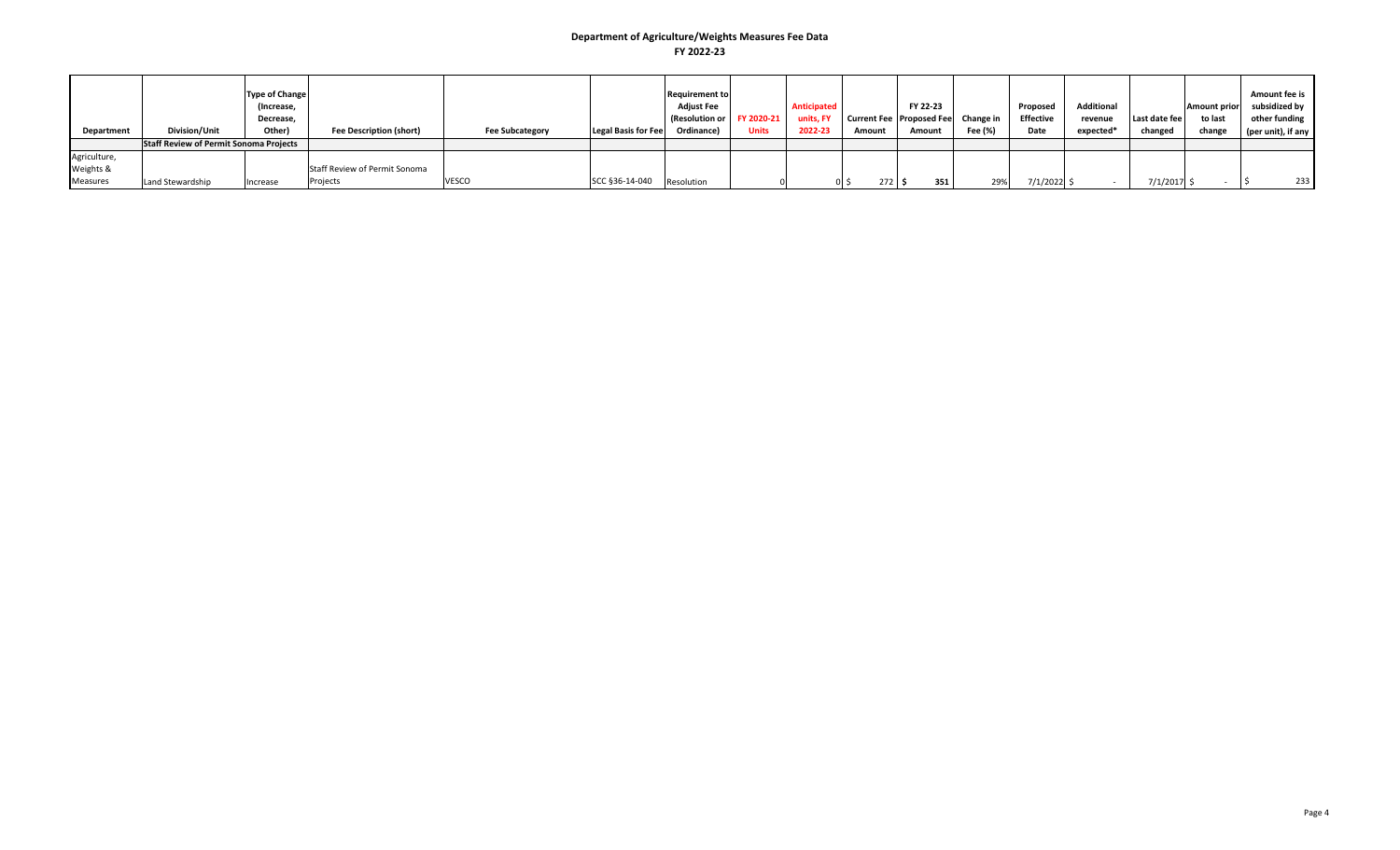|                   |                                               | <b>Type of Change</b> |                                |                        |                            | <b>Requirement to</b> |              |             |                               |                                    |         |                  |                   |               |                     | Amount fee is      |
|-------------------|-----------------------------------------------|-----------------------|--------------------------------|------------------------|----------------------------|-----------------------|--------------|-------------|-------------------------------|------------------------------------|---------|------------------|-------------------|---------------|---------------------|--------------------|
|                   |                                               | (Increase,            |                                |                        |                            | <b>Adjust Fee</b>     |              | Anticipated |                               | FY 22-23                           |         | Proposed         | <b>Additional</b> |               | <b>Amount prior</b> | subsidized by      |
|                   |                                               | Decrease,             |                                |                        |                            | (Resolution or        | FY 2020-21   | units, FY   |                               | Current Fee Proposed Fee Change in |         | <b>Effective</b> | revenue           | Last date fee | to last             | other funding      |
| <b>Department</b> | <b>Division/Unit</b>                          | Other)                | <b>Fee Description (short)</b> | <b>Fee Subcategory</b> | <b>Legal Basis for Fee</b> | Ordinance)            | <b>Units</b> | 2022-23     | Amount                        | Amount                             | Fee (%) | Date             | expected*         | changed       | change              | (per unit), if any |
|                   | <b>Staff Review of Permit Sonoma Projects</b> |                       |                                |                        |                            |                       |              |             |                               |                                    |         |                  |                   |               |                     |                    |
| Agriculture,      |                                               |                       |                                |                        |                            |                       |              |             |                               |                                    |         |                  |                   |               |                     |                    |
| Weights &         |                                               |                       | Staff Review of Permit Sonoma  |                        |                            |                       |              |             |                               |                                    |         |                  |                   |               |                     |                    |
| <b>Measures</b>   | Land Stewardship                              | Increase              | Projects                       | <b>VESCO</b>           | SCC §36-14-040             | Resolution            |              |             | $272 \,$ \$<br>0 <sup>5</sup> | 351                                | 29%     | 7/1/2022         |                   | $7/1/2017$ .  |                     | 233                |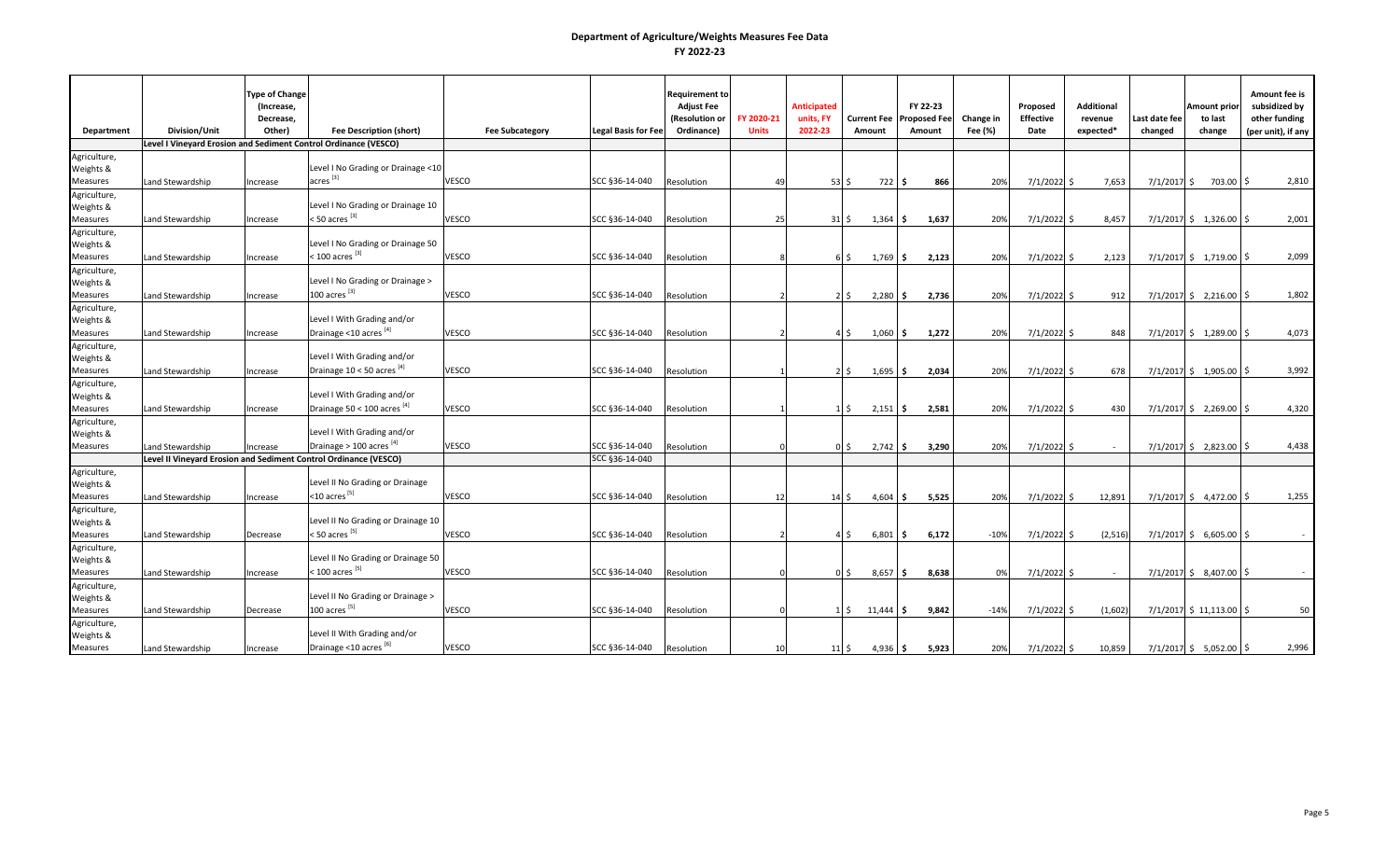| Department                | Division/Unit    | <b>Type of Change</b><br>(Increase,<br>Decrease,<br>Other) | <b>Fee Description (short)</b>                                   | <b>Fee Subcategory</b> | <b>Legal Basis for Fee</b> | <b>Requirement to</b><br><b>Adjust Fee</b><br>(Resolution or<br>Ordinance) | FY 2020-21<br><b>Units</b> | <b>Anticipated</b><br>units, FY<br>2022-23 | <b>Current Fee</b><br>Amount     | FY 22-23<br><b>Proposed Fee</b><br>Amount | Change in<br>Fee (%) | Proposed<br>Effective<br>Date | <b>Additional</b><br>revenue<br>expected* | Last date fee<br>changed | Amount prio<br>to last<br>change | Amount fee is<br>subsidized by<br>other funding<br>(per unit), if any |
|---------------------------|------------------|------------------------------------------------------------|------------------------------------------------------------------|------------------------|----------------------------|----------------------------------------------------------------------------|----------------------------|--------------------------------------------|----------------------------------|-------------------------------------------|----------------------|-------------------------------|-------------------------------------------|--------------------------|----------------------------------|-----------------------------------------------------------------------|
|                           |                  |                                                            | Level I Vineyard Erosion and Sediment Control Ordinance (VESCO)  |                        |                            |                                                                            |                            |                                            |                                  |                                           |                      |                               |                                           |                          |                                  |                                                                       |
| Agriculture,<br>Weights & |                  |                                                            | Level I No Grading or Drainage <10                               |                        |                            |                                                                            |                            |                                            |                                  |                                           |                      |                               |                                           |                          |                                  |                                                                       |
| <b>Measures</b>           | and Stewardship  | Increase                                                   | acres <sup>[3]</sup>                                             | VESCO                  | SCC §36-14-040             | Resolution                                                                 | 49                         | $53\overline{\smash{\circ}}$               | 722 \$                           | 866                                       | 20%                  | $7/1/2022$ \$                 | 7,653                                     |                          | $7/1/2017$ \$ 703.00 \$          | 2,810                                                                 |
| Agriculture,              |                  |                                                            |                                                                  |                        |                            |                                                                            |                            |                                            |                                  |                                           |                      |                               |                                           |                          |                                  |                                                                       |
| Weights &                 |                  |                                                            | Level I No Grading or Drainage 10                                |                        |                            |                                                                            |                            |                                            |                                  |                                           |                      |                               |                                           |                          |                                  |                                                                       |
| Measures                  | Land Stewardship | Increase                                                   | < 50 acres <sup>[3]</sup>                                        | VESCO                  | SCC §36-14-040             | Resolution                                                                 | 25                         | 31 <sup>5</sup>                            | 1,364                            | 1,637<br>s.                               | 209                  | $7/1/2022$ \$                 | 8,457                                     |                          | $7/1/2017$ \$ 1,326.00           | 2,001<br>l \$                                                         |
| Agriculture,<br>Weights & |                  |                                                            | Level I No Grading or Drainage 50                                |                        |                            |                                                                            |                            |                                            |                                  |                                           |                      |                               |                                           |                          |                                  |                                                                       |
| <b>Measures</b>           | Land Stewardship | Increase                                                   | $<$ 100 acres $^{[3]}$                                           | VESCO                  | SCC §36-14-040             | Resolution                                                                 |                            |                                            | 1,769<br>6 \$                    | 2,123<br>IS.                              | 20%                  | $7/1/2022$ \$                 | 2,123                                     |                          | $7/1/2017$ \$ 1,719.00 \$        | 2,099                                                                 |
| Agriculture,              |                  |                                                            |                                                                  |                        |                            |                                                                            |                            |                                            |                                  |                                           |                      |                               |                                           |                          |                                  |                                                                       |
| Weights &                 |                  |                                                            | Level I No Grading or Drainage >                                 |                        |                            |                                                                            |                            |                                            |                                  |                                           |                      |                               |                                           |                          |                                  |                                                                       |
| Measures                  | and Stewardship  | Increase                                                   | 100 acres $^{[3]}$                                               | VESCO                  | SCC §36-14-040             | Resolution                                                                 |                            |                                            | $2\overline{5}$<br>2,280         | 2,736<br>I\$                              | 20%                  | $7/1/2022$ \$                 | 912                                       |                          | $7/1/2017$ \$ 2,216.00 \$        | 1,802                                                                 |
| Agriculture,<br>Weights & |                  |                                                            | Level I With Grading and/or                                      |                        |                            |                                                                            |                            |                                            |                                  |                                           |                      |                               |                                           |                          |                                  |                                                                       |
| Measures                  | and Stewardship  | ncrease                                                    | Drainage <10 acres [4]                                           | VESCO                  | SCC §36-14-040             | Resolution                                                                 |                            |                                            | $1,060$ \$<br>4\$                | 1,272                                     | 20%                  | $7/1/2022$ \$                 | 848                                       |                          | $7/1/2017$ \$ 1,289.00 \$        | 4,073                                                                 |
| Agriculture,              |                  |                                                            |                                                                  |                        |                            |                                                                            |                            |                                            |                                  |                                           |                      |                               |                                           |                          |                                  |                                                                       |
| Weights &                 |                  |                                                            | Level I With Grading and/or                                      |                        |                            |                                                                            |                            |                                            |                                  |                                           |                      |                               |                                           |                          |                                  |                                                                       |
| Measures                  | and Stewardship  | Increase                                                   | Drainage 10 < 50 acres [4]                                       | VESCO                  | SCC §36-14-040             | Resolution                                                                 |                            |                                            | $2\overline{5}$<br>1,695         | \$<br>2,034                               | 20%                  | $7/1/2022$ \$                 | 678                                       |                          | $7/1/2017$ \$ 1,905.00           | 3,992                                                                 |
| Agriculture,              |                  |                                                            |                                                                  |                        |                            |                                                                            |                            |                                            |                                  |                                           |                      |                               |                                           |                          |                                  |                                                                       |
| Weights &                 |                  |                                                            | Level I With Grading and/or                                      |                        |                            |                                                                            |                            |                                            |                                  |                                           |                      |                               |                                           |                          |                                  |                                                                       |
| Measures                  | Land Stewardship | Increase                                                   | Drainage 50 < 100 acres [4]                                      | <b>VESCO</b>           | SCC §36-14-040             | Resolution                                                                 |                            |                                            | 2,151<br>$1\,$ \$                | 2,581<br>I\$                              | 20%                  | $7/1/2022$ \$                 | 430                                       |                          | $7/1/2017$ \$ 2,269.00 \$        | 4,320                                                                 |
| Agriculture,              |                  |                                                            | Level I With Grading and/or                                      |                        |                            |                                                                            |                            |                                            |                                  |                                           |                      |                               |                                           |                          |                                  |                                                                       |
| Weights &<br>Measures     | Land Stewardship | Increase                                                   | Drainage $> 100$ acres $^{[4]}$                                  | <b>VESCO</b>           | SCC §36-14-040             | Resolution                                                                 |                            |                                            | 2,742<br>0 <sup>5</sup>          | 3,290<br>I\$                              | 20%                  | $7/1/2022$ \$                 |                                           |                          | $7/1/2017$ \$ 2,823.00 \$        | 4,438                                                                 |
|                           |                  |                                                            | Level II Vineyard Erosion and Sediment Control Ordinance (VESCO) |                        | SCC §36-14-040             |                                                                            |                            |                                            |                                  |                                           |                      |                               |                                           |                          |                                  |                                                                       |
| Agriculture,              |                  |                                                            |                                                                  |                        |                            |                                                                            |                            |                                            |                                  |                                           |                      |                               |                                           |                          |                                  |                                                                       |
| Weights &                 |                  |                                                            | Level II No Grading or Drainage                                  |                        |                            |                                                                            |                            |                                            |                                  |                                           |                      |                               |                                           |                          |                                  |                                                                       |
| <b>Measures</b>           | Land Stewardship | Increase                                                   | $<$ 10 acres <sup>[5]</sup>                                      | VESCO                  | SCC §36-14-040             | Resolution                                                                 | 12                         |                                            | 4,604<br>14S                     | 5,525<br>l S                              | 20%                  | $7/1/2022$ \$                 | 12,891                                    |                          | $7/1/2017$ \$ 4,472.00 \$        | 1,255                                                                 |
| Agriculture,              |                  |                                                            |                                                                  |                        |                            |                                                                            |                            |                                            |                                  |                                           |                      |                               |                                           |                          |                                  |                                                                       |
| Weights &                 |                  |                                                            | Level II No Grading or Drainage 10                               |                        |                            |                                                                            |                            |                                            |                                  |                                           |                      |                               |                                           |                          |                                  |                                                                       |
| Measures                  | and Stewardship  | Decrease                                                   | < 50 acres <sup>[5]</sup>                                        | VESCO                  | SCC §36-14-040             | Resolution                                                                 |                            |                                            | $4\overline{\smash{5}}$<br>6,801 | 6,172<br>ا \$ا                            | $-10%$               | 7/1/2022 \$                   | (2,516)                                   |                          | $7/1/2017$ \$ 6,605.00 \$        |                                                                       |
| Agriculture,<br>Weights & |                  |                                                            | Level II No Grading or Drainage 50                               |                        |                            |                                                                            |                            |                                            |                                  |                                           |                      |                               |                                           |                          |                                  |                                                                       |
| <b>Measures</b>           | and Stewardship  | ncrease                                                    | < 100 acres <sup>[5]</sup>                                       | VESCO                  | SCC §36-14-040             | Resolution                                                                 | $\Omega$                   |                                            | 0 <sup>5</sup><br>8,657          | 8,638<br>l \$                             | 0%                   | $7/1/2022$ \$                 | $\sim$                                    |                          | $7/1/2017$ \$ 8,407.00 \$        |                                                                       |
| Agriculture,              |                  |                                                            |                                                                  |                        |                            |                                                                            |                            |                                            |                                  |                                           |                      |                               |                                           |                          |                                  |                                                                       |
| Weights &                 |                  |                                                            | Level II No Grading or Drainage >                                |                        |                            |                                                                            |                            |                                            |                                  |                                           |                      |                               |                                           |                          |                                  |                                                                       |
| Measures                  | Land Stewardship | Decrease                                                   | 100 acres $^{[5]}$                                               | VESCO                  | SCC §36-14-040             | Resolution                                                                 | $\Omega$                   |                                            | $1\,$ \$<br>$11,444$ \$          | 9,842                                     | $-14%$               | $7/1/2022$ \$                 | (1,602)                                   |                          | $7/1/2017$ \$ 11,113.00 \$       | 50                                                                    |
| Agriculture,              |                  |                                                            | Level II With Grading and/or                                     |                        |                            |                                                                            |                            |                                            |                                  |                                           |                      |                               |                                           |                          |                                  |                                                                       |
| Weights &<br>Measures     | Land Stewardship | Increase                                                   | Drainage <10 acres [6]                                           | <b>VESCO</b>           | SCC §36-14-040             | Resolution                                                                 | 10                         | $11\overline{\smash{\big\lvert}}\,$ \$     | $4,936$ \$                       | 5,923                                     | 20%                  | $7/1/2022$ \$                 | 10,859                                    |                          | $7/1/2017$ \$ 5,052.00 \$        | 2,996                                                                 |
|                           |                  |                                                            |                                                                  |                        |                            |                                                                            |                            |                                            |                                  |                                           |                      |                               |                                           |                          |                                  |                                                                       |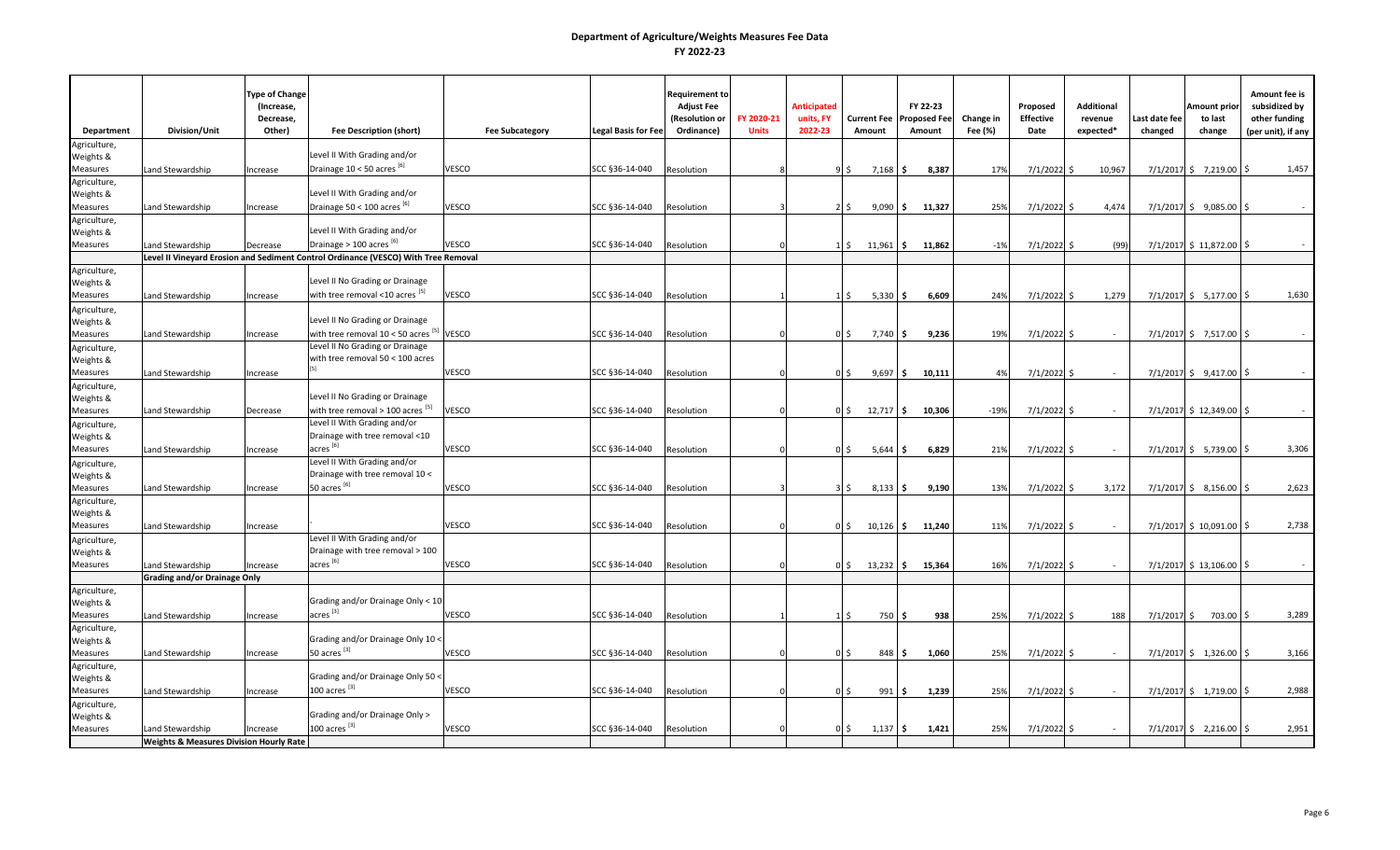|                              |                                                    | <b>Type of Change</b><br>(Increase,<br>Decrease, |                                                                                    |                        |                            | Requirement to<br><b>Adjust Fee</b><br>(Resolution or | FY 2020-21   | <b>Anticipated</b><br>units, FY | <b>Current Fee</b>            |             | FY 22-23<br><b>Proposed Fee</b> | Change in | Proposed<br><b>Effective</b> | <b>Additional</b><br>revenue | Last date fee | Amount prior<br>to last    | Amount fee is<br>subsidized by<br>other funding |
|------------------------------|----------------------------------------------------|--------------------------------------------------|------------------------------------------------------------------------------------|------------------------|----------------------------|-------------------------------------------------------|--------------|---------------------------------|-------------------------------|-------------|---------------------------------|-----------|------------------------------|------------------------------|---------------|----------------------------|-------------------------------------------------|
| Department                   | Division/Unit                                      | Other)                                           | <b>Fee Description (short)</b>                                                     | <b>Fee Subcategory</b> | <b>Legal Basis for Fee</b> | Ordinance)                                            | <b>Units</b> | 2022-23                         | Amount                        |             | Amount                          | Fee (%)   | Date                         | expected*                    | changed       | change                     | (per unit), if any                              |
| Agriculture,                 |                                                    |                                                  |                                                                                    |                        |                            |                                                       |              |                                 |                               |             |                                 |           |                              |                              |               |                            |                                                 |
| Weights &                    |                                                    |                                                  | Level II With Grading and/or                                                       |                        |                            |                                                       |              |                                 |                               |             |                                 |           |                              |                              |               |                            |                                                 |
| Measures                     | and Stewardship                                    | Increase                                         | Drainage 10 < 50 acres [6]                                                         | VESCO                  | SCC §36-14-040             | Resolution                                            |              |                                 | 9\$                           | $7,168$ \$  | 8,387                           | 17%       | $7/1/2022$ \$                | 10,967                       |               | $7/1/2017$ \$ 7,219.00 \$  | 1,457                                           |
| Agriculture,                 |                                                    |                                                  |                                                                                    |                        |                            |                                                       |              |                                 |                               |             |                                 |           |                              |                              |               |                            |                                                 |
| Weights &                    |                                                    |                                                  | Level II With Grading and/or                                                       |                        |                            |                                                       |              |                                 |                               |             |                                 |           |                              |                              |               |                            |                                                 |
| <b>Measures</b>              | Land Stewardship                                   | Increase                                         | Drainage 50 < 100 acres $^{[6]}$                                                   | VESCO                  | SCC §36-14-040             | Resolution                                            |              |                                 | 9,090<br>$2 \,$ s             | l \$        | 11,327                          | 25%       | 7/1/2022                     | 4,474<br>-Ś                  |               | $7/1/2017$ \$ 9,085.00 \$  |                                                 |
| Agriculture,                 |                                                    |                                                  | Level II With Grading and/or                                                       |                        |                            |                                                       |              |                                 |                               |             |                                 |           |                              |                              |               |                            |                                                 |
| Weights &                    |                                                    |                                                  | Drainage $> 100$ acres $^{[6]}$                                                    | VESCO                  | SCC §36-14-040             |                                                       |              |                                 |                               |             |                                 |           |                              |                              |               |                            |                                                 |
| Measures                     | and Stewardship                                    | Decrease                                         | Level II Vineyard Erosion and Sediment Control Ordinance (VESCO) With Tree Removal |                        |                            | Resolution                                            |              |                                 | 11,961<br>1 I S               | I\$         | 11,862                          | $-1%$     | 7/1/2022 \$                  | (99)                         |               | 7/1/2017 \$11,872.00 \$    |                                                 |
| Agriculture,                 |                                                    |                                                  |                                                                                    |                        |                            |                                                       |              |                                 |                               |             |                                 |           |                              |                              |               |                            |                                                 |
| Weights &                    |                                                    |                                                  | Level II No Grading or Drainage                                                    |                        |                            |                                                       |              |                                 |                               |             |                                 |           |                              |                              |               |                            |                                                 |
| Measures                     | Land Stewardship                                   | Increase                                         | with tree removal <10 acres [5]                                                    | VESCO                  | SCC §36-14-040             | Resolution                                            |              |                                 | 15                            | $5,330$ \$  | 6,609                           | 24%       | $7/1/2022$ \$                | 1,279                        |               | $7/1/2017$ \$ 5,177.00 \$  | 1,630                                           |
| Agriculture,                 |                                                    |                                                  |                                                                                    |                        |                            |                                                       |              |                                 |                               |             |                                 |           |                              |                              |               |                            |                                                 |
| Weights &                    |                                                    |                                                  | Level II No Grading or Drainage                                                    |                        |                            |                                                       |              |                                 |                               |             |                                 |           |                              |                              |               |                            |                                                 |
| <b>Measures</b>              | Land Stewardship                                   | Increase                                         | with tree removal $10 < 50$ acres $^{[5]}$                                         | VESCO                  | SCC §36-14-040             | Resolution                                            |              |                                 | $0\sqrt{5}$                   | $7,740$ \$  | 9,236                           | 19%       | 7/1/2022                     | l S<br>$\sim$                |               | 7/1/2017 \$ 7,517.00 \$    |                                                 |
| Agriculture,                 |                                                    |                                                  | Level II No Grading or Drainage                                                    |                        |                            |                                                       |              |                                 |                               |             |                                 |           |                              |                              |               |                            |                                                 |
| Weights &                    |                                                    |                                                  | with tree removal $50 < 100$ acres                                                 |                        |                            |                                                       |              |                                 |                               |             |                                 |           |                              |                              |               |                            |                                                 |
| Measures                     | and Stewardship                                    | Increase                                         |                                                                                    | VESCO                  | SCC §36-14-040             | Resolution                                            |              |                                 | $0\sqrt{5}$<br>9,697          | I\$         | 10,111                          | 4%        | $7/1/2022$ \$                |                              |               | $7/1/2017$ \$ 9,417.00 \$  |                                                 |
| Agriculture,                 |                                                    |                                                  |                                                                                    |                        |                            |                                                       |              |                                 |                               |             |                                 |           |                              |                              |               |                            |                                                 |
| Weights &                    |                                                    |                                                  | Level II No Grading or Drainage                                                    |                        |                            |                                                       |              |                                 |                               |             |                                 |           |                              |                              |               |                            |                                                 |
| <b>Measures</b>              | Land Stewardship                                   | Decrease                                         | with tree removal > 100 acres $^{[5]}$                                             | VESCO                  | SCC §36-14-040             | Resolution                                            |              |                                 | 0 <sup>5</sup><br>$12,717$ \$ |             | 10,306                          | $-19%$    | 7/1/2022 \$                  | $\sim$                       |               | 7/1/2017 \$12,349.00 \$    |                                                 |
| Agriculture,                 |                                                    |                                                  | Level II With Grading and/or<br>Drainage with tree removal <10                     |                        |                            |                                                       |              |                                 |                               |             |                                 |           |                              |                              |               |                            |                                                 |
| Weights &                    |                                                    |                                                  | $\arccos$ <sup>[6]</sup>                                                           | VESCO                  | SCC §36-14-040             |                                                       |              |                                 |                               |             |                                 |           |                              |                              |               |                            |                                                 |
| Measures                     | and Stewardship                                    | Increase                                         | Level II With Grading and/or                                                       |                        |                            | Resolution                                            |              |                                 | 0 \$<br>5,644                 | ١s          | 6,829                           | 21%       | $7/1/2022$ \$                |                              |               | $7/1/2017$ \$ 5,739.00 \$  | 3,306                                           |
| Agriculture,<br>Weights &    |                                                    |                                                  | Drainage with tree removal 10 <                                                    |                        |                            |                                                       |              |                                 |                               |             |                                 |           |                              |                              |               |                            |                                                 |
| Measures                     | and Stewardship                                    | Increase                                         | 50 acres <sup>[6]</sup>                                                            | VESCO                  | SCC §36-14-040             | Resolution                                            |              |                                 | 35                            | $8,133$ \$  | 9,190                           | 13%       | 7/1/2022 \$                  | 3,172                        |               | $7/1/2017$ \$ 8,156.00 \$  | 2,623                                           |
| Agriculture,                 |                                                    |                                                  |                                                                                    |                        |                            |                                                       |              |                                 |                               |             |                                 |           |                              |                              |               |                            |                                                 |
| Weights &                    |                                                    |                                                  |                                                                                    |                        |                            |                                                       |              |                                 |                               |             |                                 |           |                              |                              |               |                            |                                                 |
| Measures                     | Land Stewardship                                   | Increase                                         |                                                                                    | VESCO                  | SCC §36-14-040             | Resolution                                            |              |                                 | $0\sqrt{5}$                   | $10,126$ \$ | 11,240                          | 11%       | $7/1/2022$ \$                |                              |               | $7/1/2017$ \$ 10,091.00 \$ | 2,738                                           |
| Agriculture,                 |                                                    |                                                  | Level II With Grading and/or                                                       |                        |                            |                                                       |              |                                 |                               |             |                                 |           |                              |                              |               |                            |                                                 |
| Weights &                    |                                                    |                                                  | Drainage with tree removal > 100                                                   |                        |                            |                                                       |              |                                 |                               |             |                                 |           |                              |                              |               |                            |                                                 |
| Measures                     | Land Stewardship                                   | Increase                                         | acres <sup>[6]</sup>                                                               | VESCO                  | SCC §36-14-040             | Resolution                                            |              |                                 | $0\sqrt{5}$                   | $13,232$ \$ | 15,364                          | 16%       | $7/1/2022$ \$                |                              |               | 7/1/2017 \$13,106.00 \$    |                                                 |
|                              | <b>Grading and/or Drainage Only</b>                |                                                  |                                                                                    |                        |                            |                                                       |              |                                 |                               |             |                                 |           |                              |                              |               |                            |                                                 |
| Agriculture,                 |                                                    |                                                  |                                                                                    |                        |                            |                                                       |              |                                 |                               |             |                                 |           |                              |                              |               |                            |                                                 |
| Weights &                    |                                                    |                                                  | Grading and/or Drainage Only < 10<br>$acres$ <sup>[3]</sup>                        |                        |                            |                                                       |              |                                 |                               |             |                                 |           |                              |                              |               |                            |                                                 |
| Measures                     | Land Stewardship                                   | Increase                                         |                                                                                    | VESCO                  | SCC §36-14-040             | Resolution                                            |              |                                 | $1\,$ \$                      | 750 \$      | 938                             | 25%       | $7/1/2022$ \$                | 188                          |               | $7/1/2017$ \$ 703.00 \$    | 3,289                                           |
| Agriculture,                 |                                                    |                                                  | Grading and/or Drainage Only 10 <                                                  |                        |                            |                                                       |              |                                 |                               |             |                                 |           |                              |                              |               |                            |                                                 |
| Weights &<br><b>Measures</b> | Land Stewardship                                   | Increase                                         | 50 acres <sup>[3]</sup>                                                            | VESCO                  | SCC §36-14-040             | Resolution                                            |              |                                 | 0 <sup>5</sup>                | 848 \$      | 1,060                           | 25%       | 7/1/2022                     | Ŝ.                           |               | $7/1/2017$ \$ 1,326.00     | 3,166<br>I\$                                    |
| Agriculture,                 |                                                    |                                                  |                                                                                    |                        |                            |                                                       |              |                                 |                               |             |                                 |           |                              |                              |               |                            |                                                 |
| Weights &                    |                                                    |                                                  | Grading and/or Drainage Only 50 <                                                  |                        |                            |                                                       |              |                                 |                               |             |                                 |           |                              |                              |               |                            |                                                 |
| Measures                     | and Stewardship                                    | Increase                                         | 100 acres <sup>[3]</sup>                                                           | VESCO                  | SCC §36-14-040             | Resolution                                            |              |                                 | $0\sqrt{5}$                   | 991S        | 1,239                           | 25%       | 7/1/2022 \$                  | $\sim$                       |               | $7/1/2017$ \$ 1,719.00 \$  | 2,988                                           |
| Agriculture,                 |                                                    |                                                  |                                                                                    |                        |                            |                                                       |              |                                 |                               |             |                                 |           |                              |                              |               |                            |                                                 |
| Weights &                    |                                                    |                                                  | Grading and/or Drainage Only >                                                     |                        |                            |                                                       |              |                                 |                               |             |                                 |           |                              |                              |               |                            |                                                 |
| <b>Measures</b>              | Land Stewardship                                   | Increase                                         | $100$ acres $^{[3]}$                                                               | <b>VESCO</b>           | SCC §36-14-040             | Resolution                                            |              |                                 | $0\sqrt{5}$<br>1,137          | I\$         | 1,421                           | 25%       | 7/1/2022 \$                  |                              |               | $7/1/2017$ \$ 2,216.00     | 2,951<br>I\$                                    |
|                              | <b>Weights &amp; Measures Division Hourly Rate</b> |                                                  |                                                                                    |                        |                            |                                                       |              |                                 |                               |             |                                 |           |                              |                              |               |                            |                                                 |